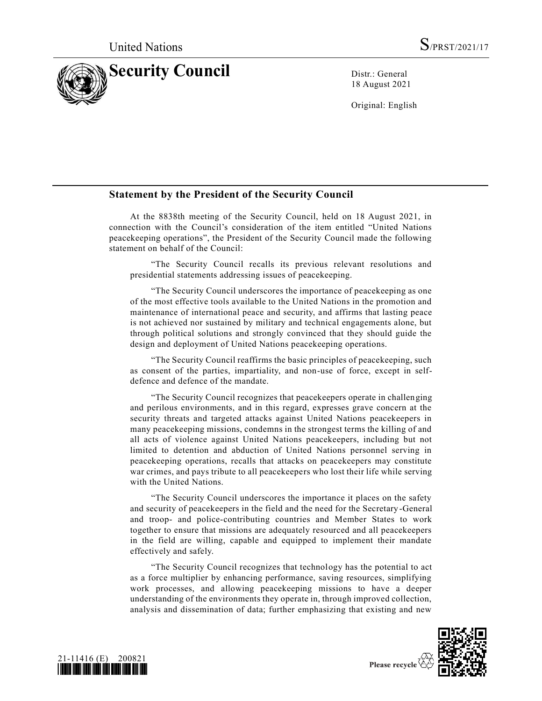

18 August 2021

Original: English

## **Statement by the President of the Security Council**

At the 8838th meeting of the Security Council, held on 18 August 2021, in connection with the Council's consideration of the item entitled "United Nations peacekeeping operations", the President of the Security Council made the following statement on behalf of the Council:

"The Security Council recalls its previous relevant resolutions and presidential statements addressing issues of peacekeeping.

"The Security Council underscores the importance of peacekeeping as one of the most effective tools available to the United Nations in the promotion and maintenance of international peace and security, and affirms that lasting peace is not achieved nor sustained by military and technical engagements alone, but through political solutions and strongly convinced that they should guide the design and deployment of United Nations peacekeeping operations.

"The Security Council reaffirms the basic principles of peacekeeping, such as consent of the parties, impartiality, and non-use of force, except in selfdefence and defence of the mandate.

"The Security Council recognizes that peacekeepers operate in challenging and perilous environments, and in this regard, expresses grave concern at the security threats and targeted attacks against United Nations peacekeepers in many peacekeeping missions, condemns in the strongest terms the killing of and all acts of violence against United Nations peacekeepers, including but not limited to detention and abduction of United Nations personnel serving in peacekeeping operations, recalls that attacks on peacekeepers may constitute war crimes, and pays tribute to all peacekeepers who lost their life while serving with the United Nations.

"The Security Council underscores the importance it places on the safety and security of peacekeepers in the field and the need for the Secretary -General and troop- and police-contributing countries and Member States to work together to ensure that missions are adequately resourced and all peacekeepers in the field are willing, capable and equipped to implement their mandate effectively and safely.

"The Security Council recognizes that technology has the potential to act as a force multiplier by enhancing performance, saving resources, simplifying work processes, and allowing peacekeeping missions to have a deeper understanding of the environments they operate in, through improved collection, analysis and dissemination of data; further emphasizing that existing and new